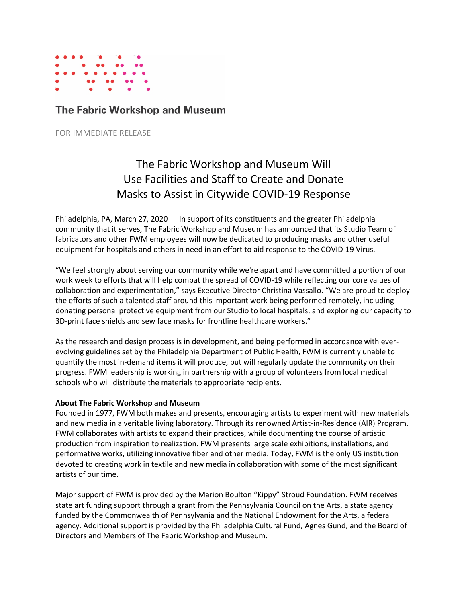

## The Fabric Workshop and Museum

FOR IMMEDIATE RELEASE

## The Fabric Workshop and Museum Will Use Facilities and Staff to Create and Donate Masks to Assist in Citywide COVID-19 Response

Philadelphia, PA, March 27, 2020 — In support of its constituents and the greater Philadelphia community that it serves, The Fabric Workshop and Museum has announced that its Studio Team of fabricators and other FWM employees will now be dedicated to producing masks and other useful equipment for hospitals and others in need in an effort to aid response to the COVID-19 Virus.

"We feel strongly about serving our community while we're apart and have committed a portion of our work week to efforts that will help combat the spread of COVID-19 while reflecting our core values of collaboration and experimentation," says Executive Director Christina Vassallo. "We are proud to deploy the efforts of such a talented staff around this important work being performed remotely, including donating personal protective equipment from our Studio to local hospitals, and exploring our capacity to 3D-print face shields and sew face masks for frontline healthcare workers."

As the research and design process is in development, and being performed in accordance with everevolving guidelines set by the Philadelphia Department of Public Health, FWM is currently unable to quantify the most in-demand items it will produce, but will regularly update the community on their progress. FWM leadership is working in partnership with a group of volunteers from local medical schools who will distribute the materials to appropriate recipients.

## **About The Fabric Workshop and Museum**

Founded in 1977, FWM both makes and presents, encouraging artists to experiment with new materials and new media in a veritable living laboratory. Through its renowned Artist-in-Residence (AIR) Program, FWM collaborates with artists to expand their practices, while documenting the course of artistic production from inspiration to realization. FWM presents large scale exhibitions, installations, and performative works, utilizing innovative fiber and other media. Today, FWM is the only US institution devoted to creating work in textile and new media in collaboration with some of the most significant artists of our time.

Major support of FWM is provided by the Marion Boulton "Kippy" Stroud Foundation. FWM receives state art funding support through a grant from the Pennsylvania Council on the Arts, a state agency funded by the Commonwealth of Pennsylvania and the National Endowment for the Arts, a federal agency. Additional support is provided by the Philadelphia Cultural Fund, Agnes Gund, and the Board of Directors and Members of The Fabric Workshop and Museum.